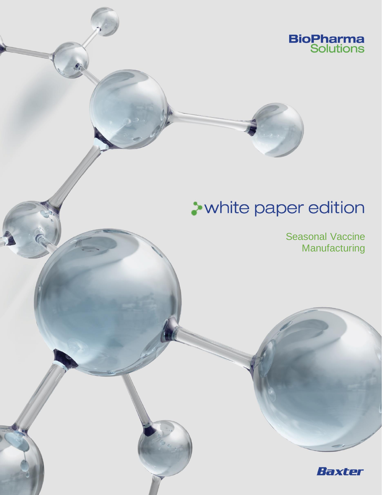

# **A** white paper edition

Seasonal Vaccine **Manufacturing** 

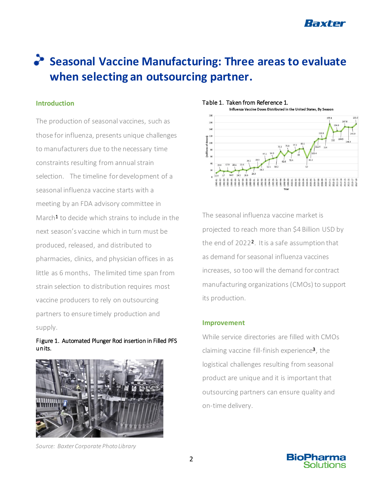

## **Seasonal Vaccine Manufacturing: Three areas to evaluate when selecting an outsourcing partner.**

#### **Introduction**

The production of seasonal vaccines, such as those for influenza, presents unique challenges to manufacturers due to the necessary time constraints resulting from annual strain selection. The timeline for development of a seasonal influenza vaccine starts with a meeting by an FDA advisory committee in March<sup>1</sup> to decide which strains to include in the next season's vaccine which in turn must be produced, released, and distributed to pharmacies, clinics, and physician offices in as little as 6 months. The limited time span from strain selection to distribution requires most vaccine producers to rely on outsourcing partners to ensure timely production and supply.

#### Figure 1. Automated Plunger Rod insertion in Filled PFS units.



*Source: Baxter Corporate Photo Library*



The seasonal influenza vaccine market is projected to reach more than \$4 Billion USD by the end of 2022<sup>2</sup>. It is a safe assumption that as demand for seasonal influenza vaccines increases, so too will the demand for contract manufacturing organizations (CMOs) to support its production.

#### **Improvement**

While service directories are filled with CMOs claiming vaccine fill-finish experience<sup>3</sup>, the logistical challenges resulting from seasonal product are unique and it is important that outsourcing partners can ensure quality and on-time delivery.

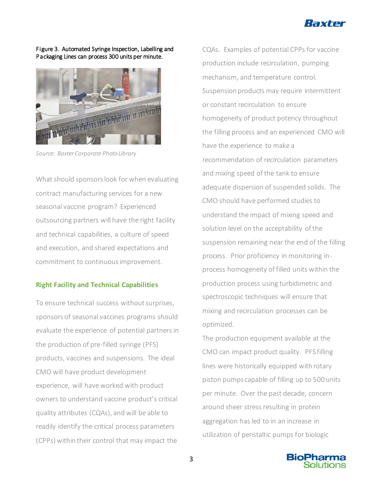

Figure 3. Automated Syringe Inspection, Labelling and Packaging Lines can process 300 units per minute.



*Source: Baxter Corporate Photo Library*

What should sponsors look for when evaluating contract manufacturing services for a new seasonal vaccine program? Experienced outsourcing partners will have the right facility and technical capabilities, a culture of speed and execution, and shared expectations and commitment to continuous improvement.

#### **Right Facility and Technical Capabilities**

To ensure technical success without surprises, sponsors of seasonal vaccines programs should evaluate the experience of potential partners in the production of pre-filled syringe (PFS) products, vaccines and suspensions. The ideal CMO will have product development experience, will have worked with product owners to understand vaccine product's critical quality attributes (CQAs), and will be able to readily identify the critical process parameters (CPPs) within their control that may impact the

CQAs. Examples of potential CPPs for vaccine production include recirculation, pumping mechanism, and temperature control. Suspension products may require intermittent or constant recirculation to ensure homogeneity of product potency throughout the filling process and an experienced CMO will have the experience to make a recommendation of recirculation parameters and mixing speed of the tank to ensure adequate dispersion of suspended solids. The CMO should have performed studies to understand the impact of mixing speed and solution level on the acceptability of the suspension remaining near the end of the filling process. Prior proficiency in monitoring inprocess homogeneity of filled units within the production process using turbidimetric and spectroscopic techniques will ensure that mixing and recirculation processes can be optimized.

The production equipment available at the CMO can impact product quality. PFS filling lines were historically equipped with rotary piston pumps capable of filling up to 500 units per minute. Over the past decade, concern around sheer stress resulting in protein aggregation has led to in an increase in utilization of peristaltic pumps for biologic

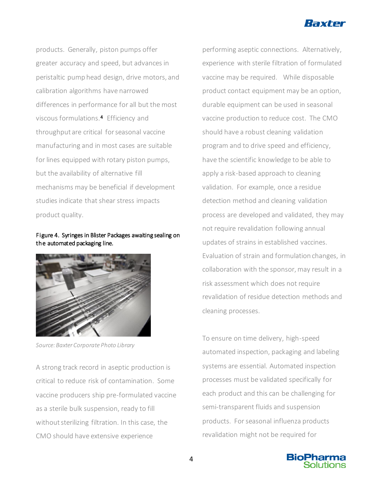

products. Generally, piston pumps offer greater accuracy and speed, but advances in peristaltic pump head design, drive motors, and calibration algorithms have narrowed differences in performance for all but the most viscous formulations.<sup>4</sup> Efficiency and throughput are critical for seasonal vaccine manufacturing and in most cases are suitable for lines equipped with rotary piston pumps, but the availability of alternative fill mechanisms may be beneficial if development studies indicate that shear stress impacts product quality.

#### Figure 4. Syringes in Blister Packages awaiting sealing on the automated packaging line.



*Source: Baxter Corporate Photo Library*

A strong track record in aseptic production is critical to reduce risk of contamination. Some vaccine producers ship pre-formulated vaccine as a sterile bulk suspension, ready to fill without sterilizing filtration. In this case, the CMO should have extensive experience

performing aseptic connections. Alternatively, experience with sterile filtration of formulated vaccine may be required. While disposable product contact equipment may be an option, durable equipment can be used in seasonal vaccine production to reduce cost. The CMO should have a robust cleaning validation program and to drive speed and efficiency, have the scientific knowledge to be able to apply a risk-based approach to cleaning validation. For example, once a residue detection method and cleaning validation process are developed and validated, they may not require revalidation following annual updates of strains in established vaccines. Evaluation of strain and formulation changes, in collaboration with the sponsor, may result in a risk assessment which does not require revalidation of residue detection methods and cleaning processes.

To ensure on time delivery, high-speed automated inspection, packaging and labeling systems are essential. Automated inspection processes must be validated specifically for each product and this can be challenging for semi-transparent fluids and suspension products. For seasonal influenza products revalidation might not be required for

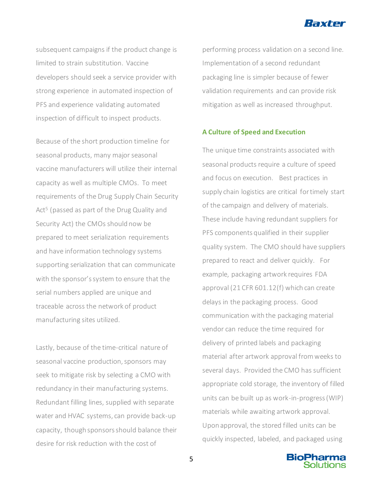

subsequent campaigns if the product change is limited to strain substitution. Vaccine developers should seek a service provider with strong experience in automated inspection of PFS and experience validating automated inspection of difficult to inspect products.

Because of the short production timeline for seasonal products, many major seasonal vaccine manufacturers will utilize their internal capacity as well as multiple CMOs. To meet requirements of the Drug Supply Chain Security Act<sup>5</sup> (passed as part of the Drug Quality and Security Act) the CMOs should now be prepared to meet serialization requirements and have information technology systems supporting serialization that can communicate with the sponsor's system to ensure that the serial numbers applied are unique and traceable across the network of product manufacturing sites utilized.

Lastly, because of the time-critical nature of seasonal vaccine production, sponsors may seek to mitigate risk by selecting a CMO with redundancy in their manufacturing systems. Redundant filling lines, supplied with separate water and HVAC systems, can provide back-up capacity, though sponsors should balance their desire for risk reduction with the cost of

performing process validation on a second line. Implementation of a second redundant packaging line is simpler because of fewer validation requirements and can provide risk mitigation as well as increased throughput.

#### **A Culture of Speed and Execution**

The unique time constraints associated with seasonal products require a culture of speed and focus on execution. Best practices in supply chain logistics are critical for timely start of the campaign and delivery of materials. These include having redundant suppliers for PFS components qualified in their supplier quality system. The CMO should have suppliers prepared to react and deliver quickly. For example, packaging artwork requires FDA approval (21 CFR 601.12(f) which can create delays in the packaging process. Good communication with the packaging material vendor can reduce the time required for delivery of printed labels and packaging material after artwork approval from weeks to several days. Provided the CMO has sufficient appropriate cold storage, the inventory of filled units can be built up as work-in-progress (WIP) materials while awaiting artwork approval. Upon approval, the stored filled units can be quickly inspected, labeled, and packaged using

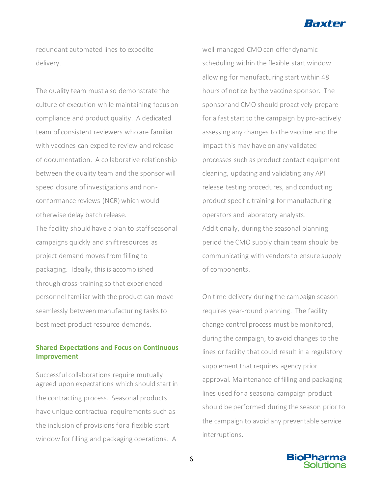

redundant automated lines to expedite delivery.

The quality team must also demonstrate the culture of execution while maintaining focus on compliance and product quality. A dedicated team of consistent reviewers who are familiar with vaccines can expedite review and release of documentation. A collaborative relationship between the quality team and the sponsor will speed closure of investigations and nonconformance reviews (NCR) which would otherwise delay batch release.

The facility should have a plan to staff seasonal campaigns quickly and shift resources as project demand moves from filling to packaging. Ideally, this is accomplished through cross-training so that experienced personnel familiar with the product can move seamlessly between manufacturing tasks to best meet product resource demands.

### **Shared Expectations and Focus on Continuous Improvement**

Successful collaborations require mutually agreed upon expectations which should start in the contracting process. Seasonal products have unique contractual requirements such as the inclusion of provisions for a flexible start window for filling and packaging operations. A

well-managed CMO can offer dynamic scheduling within the flexible start window allowing for manufacturing start within 48 hours of notice by the vaccine sponsor. The sponsor and CMO should proactively prepare for a fast start to the campaign by pro-actively assessing any changes to the vaccine and the impact this may have on any validated processes such as product contact equipment cleaning, updating and validating any API release testing procedures, and conducting product specific training for manufacturing operators and laboratory analysts. Additionally, during the seasonal planning period the CMO supply chain team should be communicating with vendors to ensure supply of components.

On time delivery during the campaign season requires year-round planning. The facility change control process must be monitored, during the campaign, to avoid changes to the lines or facility that could result in a regulatory supplement that requires agency prior approval. Maintenance of filling and packaging lines used for a seasonal campaign product should be performed during the season prior to the campaign to avoid any preventable service interruptions.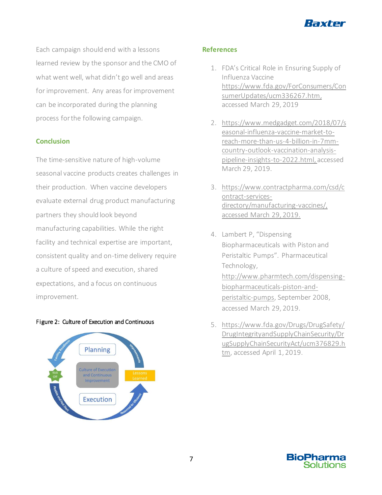

Each campaign should end with a lessons learned review by the sponsor and the CMO of what went well, what didn't go well and areas for improvement. Any areas for improvement can be incorporated during the planning process for the following campaign.

#### **Conclusion**

The time-sensitive nature of high-volume seasonal vaccine products creates challenges in their production. When vaccine developers evaluate external drug product manufacturing partners they should look beyond manufacturing capabilities. While the right facility and technical expertise are important, consistent quality and on-time delivery require a culture of speed and execution, shared expectations, and a focus on continuous improvement.

#### Figure 2: Culture of Execution and Continuous



#### **References**

- 1. FDA's Critical Role in Ensuring Supply of Influenza Vaccine [https://www.fda.gov/ForConsumers/Con](https://www.fda.gov/ForConsumers/ConsumerUpdates/ucm336267.htm) [sumerUpdates/ucm336267.htm](https://www.fda.gov/ForConsumers/ConsumerUpdates/ucm336267.htm), accessed March 29, 2019
- 2. [https://www.medgadget.com/2018/07/s](https://www.medgadget.com/2018/07/seasonal-influenza-vaccine-market-to-reach-more-than-us-4-billion-in-7mm-country-outlook-vaccination-analysis-pipeline-insights-to-2022.html) [easonal-influenza-vaccine-market-to](https://www.medgadget.com/2018/07/seasonal-influenza-vaccine-market-to-reach-more-than-us-4-billion-in-7mm-country-outlook-vaccination-analysis-pipeline-insights-to-2022.html)[reach-more-than-us-4-billion-in-7mm](https://www.medgadget.com/2018/07/seasonal-influenza-vaccine-market-to-reach-more-than-us-4-billion-in-7mm-country-outlook-vaccination-analysis-pipeline-insights-to-2022.html)[country-outlook-vaccination-analysis](https://www.medgadget.com/2018/07/seasonal-influenza-vaccine-market-to-reach-more-than-us-4-billion-in-7mm-country-outlook-vaccination-analysis-pipeline-insights-to-2022.html)[pipeline-insights-to-2022.html,](https://www.medgadget.com/2018/07/seasonal-influenza-vaccine-market-to-reach-more-than-us-4-billion-in-7mm-country-outlook-vaccination-analysis-pipeline-insights-to-2022.html) accessed March 29, 2019.
- 3. [https://www.contractpharma.com/csd/c](https://www.contractpharma.com/csd/contract-services-directory/manufacturing-vaccines/) [ontract-services](https://www.contractpharma.com/csd/contract-services-directory/manufacturing-vaccines/)[directory/manufacturing-vaccines/,](https://www.contractpharma.com/csd/contract-services-directory/manufacturing-vaccines/) accessed March 29, 2019.
- 4. Lambert P, "Dispensing Biopharmaceuticals with Piston and Peristaltic Pumps". Pharmaceutical Technology, [http://www.pharmtech.com/dispensing](http://www.pharmtech.com/dispensing-biopharmaceuticals-piston-and-peristaltic-pumps)[biopharmaceuticals-piston-and](http://www.pharmtech.com/dispensing-biopharmaceuticals-piston-and-peristaltic-pumps)[peristaltic-pumps,](http://www.pharmtech.com/dispensing-biopharmaceuticals-piston-and-peristaltic-pumps) September 2008, accessed March 29, 2019.
- 5. [https://www.fda.gov/Drugs/DrugSafety/](https://www.fda.gov/Drugs/DrugSafety/DrugIntegrityandSupplyChainSecurity/DrugSupplyChainSecurityAct/ucm376829.htm) [DrugIntegrityandSupplyChainSecurity/Dr](https://www.fda.gov/Drugs/DrugSafety/DrugIntegrityandSupplyChainSecurity/DrugSupplyChainSecurityAct/ucm376829.htm) [ugSupplyChainSecurityAct/ucm376829.h](https://www.fda.gov/Drugs/DrugSafety/DrugIntegrityandSupplyChainSecurity/DrugSupplyChainSecurityAct/ucm376829.htm) [tm,](https://www.fda.gov/Drugs/DrugSafety/DrugIntegrityandSupplyChainSecurity/DrugSupplyChainSecurityAct/ucm376829.htm) accessed April 1, 2019.